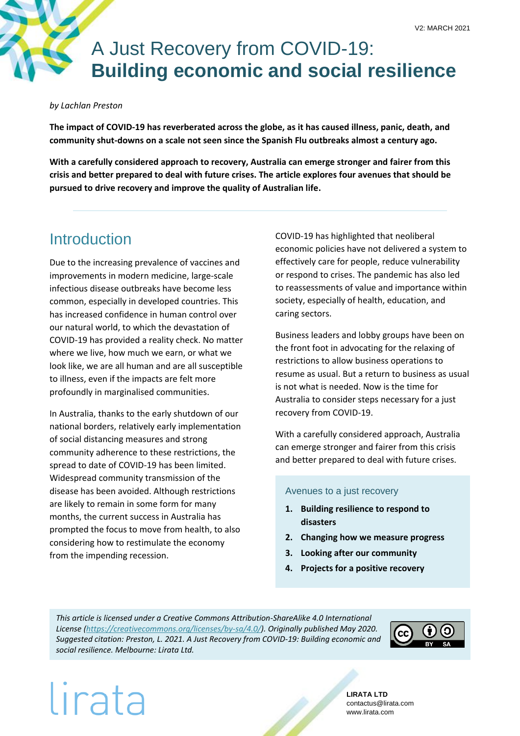# A Just Recovery from COVID-19: **Building economic and social resilience**

#### *by Lachlan Preston*

**The impact of COVID-19 has reverberated across the globe, as it has caused illness, panic, death, and community shut-downs on a scale not seen since the Spanish Flu outbreaks almost a century ago.** 

**With a carefully considered approach to recovery, Australia can emerge stronger and fairer from this crisis and better prepared to deal with future crises. The article explores four avenues that should be pursued to drive recovery and improve the quality of Australian life.**

## Introduction

Due to the increasing prevalence of vaccines and improvements in modern medicine, large-scale infectious disease outbreaks have become less common, especially in developed countries. This has increased confidence in human control over our natural world, to which the devastation of COVID-19 has provided a reality check. No matter where we live, how much we earn, or what we look like, we are all human and are all susceptible to illness, even if the impacts are felt more profoundly in marginalised communities.

In Australia, thanks to the early shutdown of our national borders, relatively early implementation of social distancing measures and strong community adherence to these restrictions, the spread to date of COVID-19 has been limited. Widespread community transmission of the disease has been avoided. Although restrictions are likely to remain in some form for many months, the current success in Australia has prompted the focus to move from health, to also considering how to restimulate the economy from the impending recession.

COVID-19 has highlighted that neoliberal economic policies have not delivered a system to effectively care for people, reduce vulnerability or respond to crises. The pandemic has also led to reassessments of value and importance within society, especially of health, education, and caring sectors.

Business leaders and lobby groups have been on the front foot in advocating for the relaxing of restrictions to allow business operations to resume as usual. But a return to business as usual is not what is needed. Now is the time for Australia to consider steps necessary for a just recovery from COVID-19.

With a carefully considered approach, Australia can emerge stronger and fairer from this crisis and better prepared to deal with future crises.

### Avenues to a just recovery

- **1. Building resilience to respond to disasters**
- **2. Changing how we measure progress**
- **3. Looking after our community**
- **4. Projects for a positive recovery**

*This article is licensed under a Creative Commons Attribution-ShareAlike 4.0 International License [\(https://creativecommons.org/licenses/by-sa/4.0/\)](https://creativecommons.org/licenses/by-sa/4.0/). Originally published May 2020. Suggested citation: Preston, L. 2021. A Just Recovery from COVID-19: Building economic and social resilience. Melbourne: Lirata Ltd.*



# lirata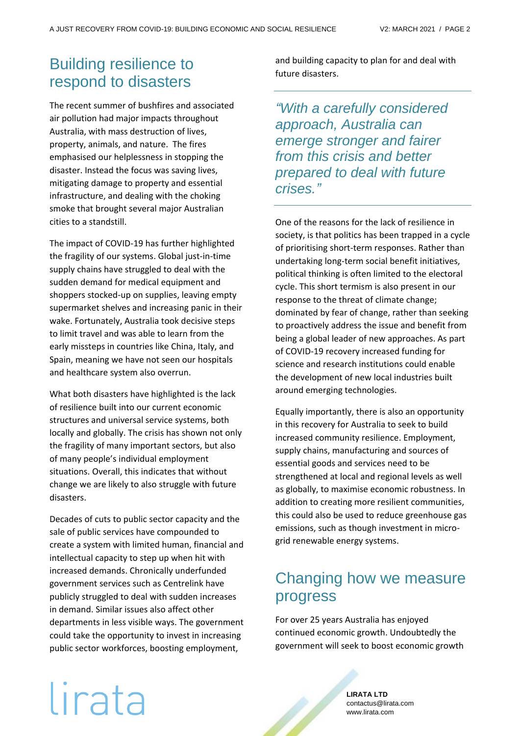## Building resilience to respond to disasters

The recent summer of bushfires and associated air pollution had major impacts throughout Australia, with mass destruction of lives, property, animals, and nature. The fires emphasised our helplessness in stopping the disaster. Instead the focus was saving lives, mitigating damage to property and essential infrastructure, and dealing with the choking smoke that brought several major Australian cities to a standstill.

The impact of COVID-19 has further highlighted the fragility of our systems. Global just-in-time supply chains have struggled to deal with the sudden demand for medical equipment and shoppers stocked-up on supplies, leaving empty supermarket shelves and increasing panic in their wake. Fortunately, Australia took decisive steps to limit travel and was able to learn from the early missteps in countries like China, Italy, and Spain, meaning we have not seen our hospitals and healthcare system also overrun.

What both disasters have highlighted is the lack of resilience built into our current economic structures and universal service systems, both locally and globally. The crisis has shown not only the fragility of many important sectors, but also of many people's individual employment situations. Overall, this indicates that without change we are likely to also struggle with future disasters.

Decades of cuts to public sector capacity and the sale of public services have compounded to create a system with limited human, financial and intellectual capacity to step up when hit with increased demands. Chronically underfunded government services such as Centrelink have publicly struggled to deal with sudden increases in demand. Similar issues also affect other departments in less visible ways. The government could take the opportunity to invest in increasing public sector workforces, boosting employment,

and building capacity to plan for and deal with future disasters.

*"With a carefully considered approach, Australia can emerge stronger and fairer from this crisis and better prepared to deal with future crises."*

One of the reasons for the lack of resilience in society, is that politics has been trapped in a cycle of prioritising short-term responses. Rather than undertaking long-term social benefit initiatives, political thinking is often limited to the electoral cycle. This short termism is also present in our response to the threat of climate change; dominated by fear of change, rather than seeking to proactively address the issue and benefit from being a global leader of new approaches. As part of COVID-19 recovery increased funding for science and research institutions could enable the development of new local industries built around emerging technologies.

Equally importantly, there is also an opportunity in this recovery for Australia to seek to build increased community resilience. Employment, supply chains, manufacturing and sources of essential goods and services need to be strengthened at local and regional levels as well as globally, to maximise economic robustness. In addition to creating more resilient communities, this could also be used to reduce greenhouse gas emissions, such as though investment in microgrid renewable energy systems.

## Changing how we measure progress

For over 25 years Australia has enjoyed continued economic growth. Undoubtedly the government will seek to boost economic growth

# lirata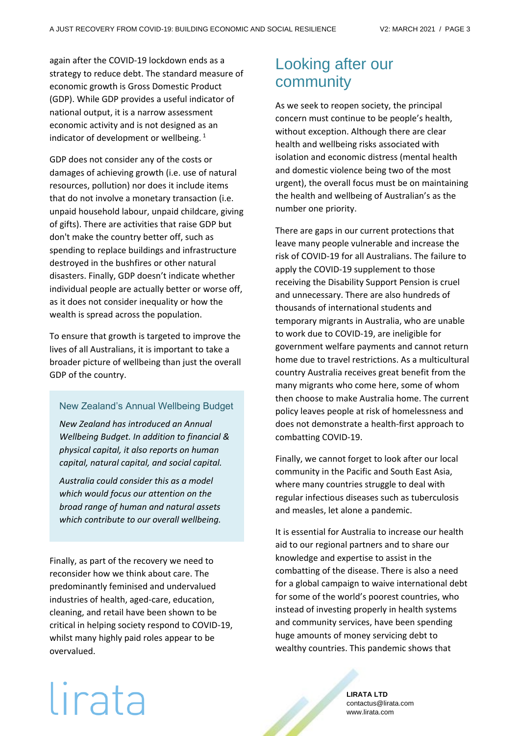again after the COVID-19 lockdown ends as a strategy to reduce debt. The standard measure of economic growth is Gross Domestic Product (GDP). While GDP provides a useful indicator of national output, it is a narrow assessment economic activity and is not designed as an indicator of development or wellbeing.  $^1$ 

GDP does not consider any of the costs or damages of achieving growth (i.e. use of natural resources, pollution) nor does it include items that do not involve a monetary transaction (i.e. unpaid household labour, unpaid childcare, giving of gifts). There are activities that raise GDP but don't make the country better off, such as spending to replace buildings and infrastructure destroyed in the bushfires or other natural disasters. Finally, GDP doesn't indicate whether individual people are actually better or worse off, as it does not consider inequality or how the wealth is spread across the population.

To ensure that growth is targeted to improve the lives of all Australians, it is important to take a broader picture of wellbeing than just the overall GDP of the country.

### New Zealand's Annual Wellbeing Budget

*New Zealand has introduced an Annual Wellbeing Budget. In addition to financial & physical capital, it also reports on human capital, natural capital, and social capital.* 

*Australia could consider this as a model which would focus our attention on the broad range of human and natural assets which contribute to our overall wellbeing.* 

Finally, as part of the recovery we need to reconsider how we think about care. The predominantly feminised and undervalued industries of health, aged-care, education, cleaning, and retail have been shown to be critical in helping society respond to COVID-19, whilst many highly paid roles appear to be overvalued.

## Looking after our community

As we seek to reopen society, the principal concern must continue to be people's health, without exception. Although there are clear health and wellbeing risks associated with isolation and economic distress (mental health and domestic violence being two of the most urgent), the overall focus must be on maintaining the health and wellbeing of Australian's as the number one priority.

There are gaps in our current protections that leave many people vulnerable and increase the risk of COVID-19 for all Australians. The failure to apply the COVID-19 supplement to those receiving the Disability Support Pension is cruel and unnecessary. There are also hundreds of thousands of international students and temporary migrants in Australia, who are unable to work due to COVID-19, are ineligible for government welfare payments and cannot return home due to travel restrictions. As a multicultural country Australia receives great benefit from the many migrants who come here, some of whom then choose to make Australia home. The current policy leaves people at risk of homelessness and does not demonstrate a health-first approach to combatting COVID-19.

Finally, we cannot forget to look after our local community in the Pacific and South East Asia, where many countries struggle to deal with regular infectious diseases such as tuberculosis and measles, let alone a pandemic.

It is essential for Australia to increase our health aid to our regional partners and to share our knowledge and expertise to assist in the combatting of the disease. There is also a need for a global campaign to waive international debt for some of the world's poorest countries, who instead of investing properly in health systems and community services, have been spending huge amounts of money servicing debt to wealthy countries. This pandemic shows that

# lirata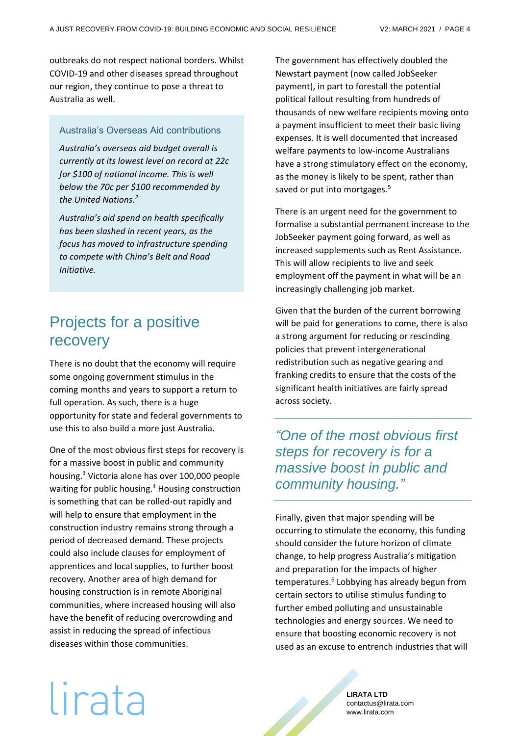outbreaks do not respect national borders. Whilst COVID-19 and other diseases spread throughout our region, they continue to pose a threat to Australia as well.

### Australia's Overseas Aid contributions

*Australia's overseas aid budget overall is currently at its lowest level on record at 22c for \$100 of national income. This is well below the 70c per \$100 recommended by the United Nations.<sup>2</sup>*

*Australia's aid spend on health specifically has been slashed in recent years, as the focus has moved to infrastructure spending to compete with China's Belt and Road Initiative.*

## Projects for a positive recovery

There is no doubt that the economy will require some ongoing government stimulus in the coming months and years to support a return to full operation. As such, there is a huge opportunity for state and federal governments to use this to also build a more just Australia.

One of the most obvious first steps for recovery is for a massive boost in public and community housing.<sup>3</sup> Victoria alone has over 100,000 people waiting for public housing.<sup>4</sup> Housing construction is something that can be rolled-out rapidly and will help to ensure that employment in the construction industry remains strong through a period of decreased demand. These projects could also include clauses for employment of apprentices and local supplies, to further boost recovery. Another area of high demand for housing construction is in remote Aboriginal communities, where increased housing will also have the benefit of reducing overcrowding and assist in reducing the spread of infectious diseases within those communities.

The government has effectively doubled the Newstart payment (now called JobSeeker payment), in part to forestall the potential political fallout resulting from hundreds of thousands of new welfare recipients moving onto a payment insufficient to meet their basic living expenses. It is well documented that increased welfare payments to low-income Australians have a strong stimulatory effect on the economy, as the money is likely to be spent, rather than saved or put into mortgages.<sup>5</sup>

There is an urgent need for the government to formalise a substantial permanent increase to the JobSeeker payment going forward, as well as increased supplements such as Rent Assistance. This will allow recipients to live and seek employment off the payment in what will be an increasingly challenging job market.

Given that the burden of the current borrowing will be paid for generations to come, there is also a strong argument for reducing or rescinding policies that prevent intergenerational redistribution such as negative gearing and franking credits to ensure that the costs of the significant health initiatives are fairly spread across society.

*"One of the most obvious first steps for recovery is for a massive boost in public and community housing."*

Finally, given that major spending will be occurring to stimulate the economy, this funding should consider the future horizon of climate change, to help progress Australia's mitigation and preparation for the impacts of higher temperatures.<sup>6</sup> Lobbying has already begun from certain sectors to utilise stimulus funding to further embed polluting and unsustainable technologies and energy sources. We need to ensure that boosting economic recovery is not used as an excuse to entrench industries that will

# lirata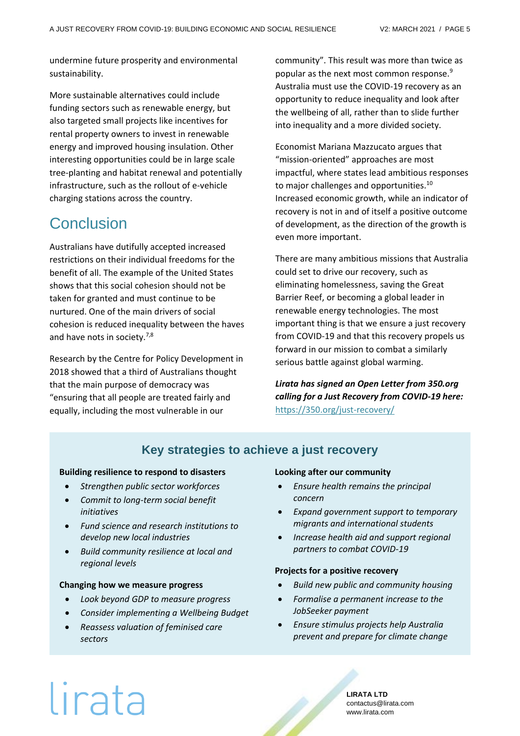undermine future prosperity and environmental sustainability.

More sustainable alternatives could include funding sectors such as renewable energy, but also targeted small projects like incentives for rental property owners to invest in renewable energy and improved housing insulation. Other interesting opportunities could be in large scale tree-planting and habitat renewal and potentially infrastructure, such as the rollout of e-vehicle charging stations across the country.

## Conclusion

Australians have dutifully accepted increased restrictions on their individual freedoms for the benefit of all. The example of the United States shows that this social cohesion should not be taken for granted and must continue to be nurtured. One of the main drivers of social cohesion is reduced inequality between the haves and have nots in society.<sup>7,8</sup>

Research by the Centre for Policy Development in 2018 showed that a third of Australians thought that the main purpose of democracy was "ensuring that all people are treated fairly and equally, including the most vulnerable in our

community". This result was more than twice as popular as the next most common response.<sup>9</sup> Australia must use the COVID-19 recovery as an opportunity to reduce inequality and look after the wellbeing of all, rather than to slide further into inequality and a more divided society.

Economist Mariana Mazzucato argues that "mission-oriented" approaches are most impactful, where states lead ambitious responses to major challenges and opportunities.<sup>10</sup> Increased economic growth, while an indicator of recovery is not in and of itself a positive outcome of development, as the direction of the growth is even more important.

There are many ambitious missions that Australia could set to drive our recovery, such as eliminating homelessness, saving the Great Barrier Reef, or becoming a global leader in renewable energy technologies. The most important thing is that we ensure a just recovery from COVID-19 and that this recovery propels us forward in our mission to combat a similarly serious battle against global warming.

*Lirata has signed an Open Letter from 350.org calling for a Just Recovery from COVID-19 here:* <https://350.org/just-recovery/>

### **Key strategies to achieve a just recovery**

#### **Building resilience to respond to disasters**

- *Strengthen public sector workforces*
- *Commit to long-term social benefit initiatives*
- *Fund science and research institutions to develop new local industries*
- *Build community resilience at local and regional levels*

#### **Changing how we measure progress**

- *Look beyond GDP to measure progress*
- *Consider implementing a Wellbeing Budget*
- *Reassess valuation of feminised care sectors*

#### **Looking after our community**

- *Ensure health remains the principal concern*
- *Expand government support to temporary migrants and international students*
- *Increase health aid and support regional partners to combat COVID-19*

#### **Projects for a positive recovery**

- *Build new public and community housing*
- *Formalise a permanent increase to the JobSeeker payment*
- *Ensure stimulus projects help Australia prevent and prepare for climate change*

# lirata